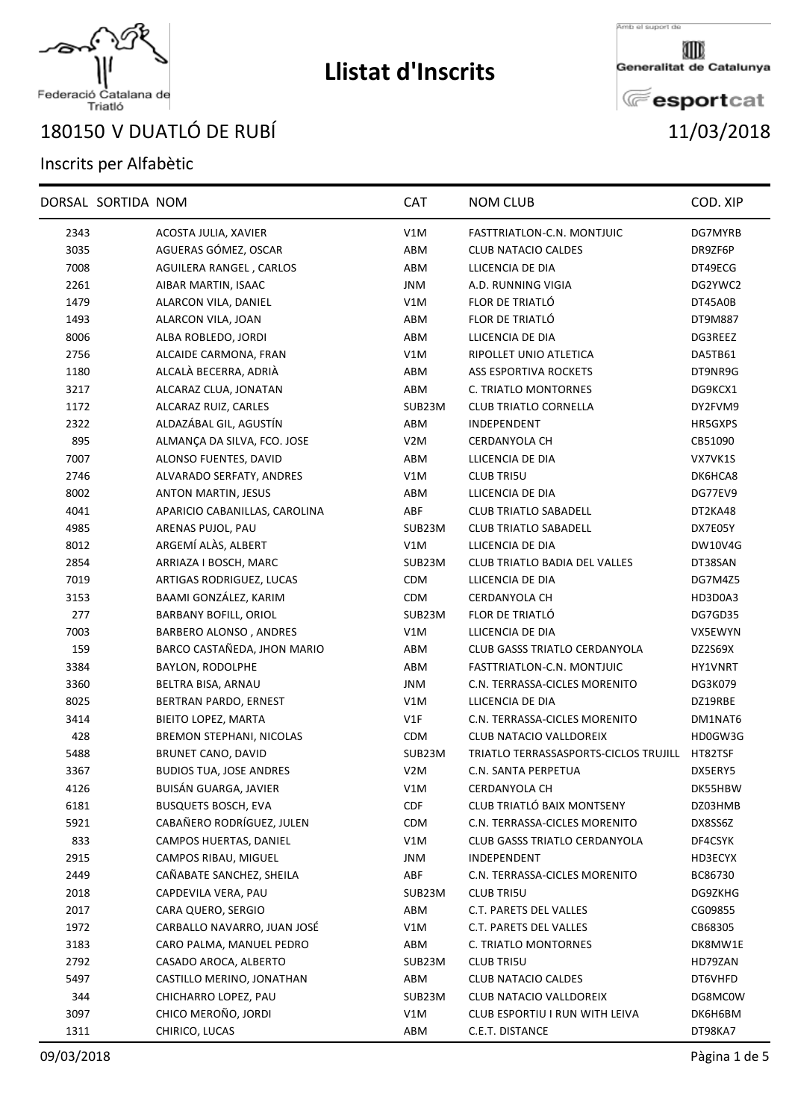

Federació Catalana de<br>Triatló

## 180150 V DUATLÓ DE RUBÍ 11/03/2018

## Inscrits per Alfabètic

|      | DORSAL SORTIDA NOM |                                 | <b>CAT</b> | <b>NOM CLUB</b>                               | COD. XIP       |
|------|--------------------|---------------------------------|------------|-----------------------------------------------|----------------|
| 2343 |                    | ACOSTA JULIA, XAVIER            | V1M        | FASTTRIATLON-C.N. MONTJUIC                    | DG7MYRB        |
| 3035 |                    | AGUERAS GÓMEZ, OSCAR            | ABM        | <b>CLUB NATACIO CALDES</b>                    | DR9ZF6P        |
| 7008 |                    | AGUILERA RANGEL, CARLOS         | ABM        | LLICENCIA DE DIA                              | DT49ECG        |
| 2261 |                    | AIBAR MARTIN, ISAAC             | <b>JNM</b> | A.D. RUNNING VIGIA                            | DG2YWC2        |
| 1479 |                    | ALARCON VILA, DANIEL            | V1M        | FLOR DE TRIATLÓ                               | DT45A0B        |
| 1493 |                    | ALARCON VILA, JOAN              | ABM        | FLOR DE TRIATLÓ                               | DT9M887        |
| 8006 |                    | ALBA ROBLEDO, JORDI             | ABM        | LLICENCIA DE DIA                              | DG3REEZ        |
| 2756 |                    | ALCAIDE CARMONA, FRAN           | V1M        | RIPOLLET UNIO ATLETICA                        | DA5TB61        |
| 1180 |                    | ALCALÀ BECERRA, ADRIÀ           | ABM        | ASS ESPORTIVA ROCKETS                         | DT9NR9G        |
| 3217 |                    | ALCARAZ CLUA, JONATAN           | ABM        | C. TRIATLO MONTORNES                          | DG9KCX1        |
| 1172 |                    | ALCARAZ RUIZ, CARLES            | SUB23M     | <b>CLUB TRIATLO CORNELLA</b>                  | DY2FVM9        |
| 2322 |                    | ALDAZÁBAL GIL, AGUSTÍN          | ABM        | INDEPENDENT                                   | HR5GXPS        |
| 895  |                    | ALMANÇA DA SILVA, FCO. JOSE     | V2M        | CERDANYOLA CH                                 | CB51090        |
| 7007 |                    | ALONSO FUENTES, DAVID           | ABM        | LLICENCIA DE DIA                              | VX7VK1S        |
| 2746 |                    | ALVARADO SERFATY, ANDRES        | V1M        | <b>CLUB TRI5U</b>                             | DK6HCA8        |
| 8002 |                    | <b>ANTON MARTIN, JESUS</b>      | ABM        | LLICENCIA DE DIA                              | DG77EV9        |
| 4041 |                    | APARICIO CABANILLAS, CAROLINA   | ABF        | <b>CLUB TRIATLO SABADELL</b>                  | DT2KA48        |
| 4985 |                    | ARENAS PUJOL, PAU               | SUB23M     | <b>CLUB TRIATLO SABADELL</b>                  | DX7E05Y        |
| 8012 |                    | ARGEMÍ ALÀS, ALBERT             | V1M        | LLICENCIA DE DIA                              | <b>DW10V4G</b> |
| 2854 |                    | ARRIAZA I BOSCH, MARC           | SUB23M     | CLUB TRIATLO BADIA DEL VALLES                 | DT38SAN        |
| 7019 |                    | ARTIGAS RODRIGUEZ, LUCAS        | <b>CDM</b> | LLICENCIA DE DIA                              | DG7M4Z5        |
| 3153 |                    | BAAMI GONZÁLEZ, KARIM           | <b>CDM</b> | CERDANYOLA CH                                 | HD3D0A3        |
| 277  |                    | <b>BARBANY BOFILL, ORIOL</b>    | SUB23M     | FLOR DE TRIATLÓ                               | DG7GD35        |
| 7003 |                    | BARBERO ALONSO, ANDRES          | V1M        | LLICENCIA DE DIA                              | VX5EWYN        |
| 159  |                    | BARCO CASTAÑEDA, JHON MARIO     | ABM        | <b>CLUB GASSS TRIATLO CERDANYOLA</b>          | DZ2S69X        |
| 3384 |                    | BAYLON, RODOLPHE                | ABM        | FASTTRIATLON-C.N. MONTJUIC                    | HY1VNRT        |
| 3360 |                    | BELTRA BISA, ARNAU              | JNM        | C.N. TERRASSA-CICLES MORENITO                 | DG3K079        |
| 8025 |                    | BERTRAN PARDO, ERNEST           | V1M        | LLICENCIA DE DIA                              | DZ19RBE        |
| 3414 |                    | BIEITO LOPEZ, MARTA             | V1F        | C.N. TERRASSA-CICLES MORENITO                 | DM1NAT6        |
| 428  |                    | <b>BREMON STEPHANI, NICOLAS</b> | <b>CDM</b> | <b>CLUB NATACIO VALLDOREIX</b>                | HD0GW3G        |
| 5488 |                    | <b>BRUNET CANO, DAVID</b>       | SUB23M     | TRIATLO TERRASSASPORTS-CICLOS TRUJILL HT82TSF |                |
| 3367 |                    | <b>BUDIOS TUA, JOSE ANDRES</b>  | V2M        | C.N. SANTA PERPETUA                           | DX5ERY5        |
| 4126 |                    | BUISÁN GUARGA, JAVIER           | V1M        | CERDANYOLA CH                                 | DK55HBW        |
| 6181 |                    | <b>BUSQUETS BOSCH, EVA</b>      | <b>CDF</b> | CLUB TRIATLÓ BAIX MONTSENY                    | DZ03HMB        |
| 5921 |                    | CABAÑERO RODRÍGUEZ, JULEN       | <b>CDM</b> | C.N. TERRASSA-CICLES MORENITO                 | DX8SS6Z        |
| 833  |                    | CAMPOS HUERTAS, DANIEL          | V1M        | <b>CLUB GASSS TRIATLO CERDANYOLA</b>          | DF4CSYK        |
| 2915 |                    | CAMPOS RIBAU, MIGUEL            | <b>JNM</b> | INDEPENDENT                                   | HD3ECYX        |
| 2449 |                    | CAÑABATE SANCHEZ, SHEILA        | ABF        | C.N. TERRASSA-CICLES MORENITO                 | BC86730        |
| 2018 |                    | CAPDEVILA VERA, PAU             | SUB23M     | <b>CLUB TRI5U</b>                             | DG9ZKHG        |
| 2017 |                    | CARA QUERO, SERGIO              | ABM        | C.T. PARETS DEL VALLES                        | CG09855        |
| 1972 |                    | CARBALLO NAVARRO, JUAN JOSÉ     | V1M        | C.T. PARETS DEL VALLES                        | CB68305        |
| 3183 |                    | CARO PALMA, MANUEL PEDRO        | ABM        | C. TRIATLO MONTORNES                          | DK8MW1E        |
| 2792 |                    | CASADO AROCA, ALBERTO           | SUB23M     | <b>CLUB TRI5U</b>                             | HD79ZAN        |
| 5497 |                    | CASTILLO MERINO, JONATHAN       | ABM        | CLUB NATACIO CALDES                           | DT6VHFD        |
| 344  |                    | CHICHARRO LOPEZ, PAU            | SUB23M     | CLUB NATACIO VALLDOREIX                       | DG8MC0W        |
| 3097 |                    | CHICO MEROÑO, JORDI             | V1M        | CLUB ESPORTIU I RUN WITH LEIVA                | DK6H6BM        |
| 1311 |                    | CHIRICO, LUCAS                  | ABM        | C.E.T. DISTANCE                               | DT98KA7        |

**Llistat d'Inscrits**





▥ Generalitat de Catalunya

**E**esportcat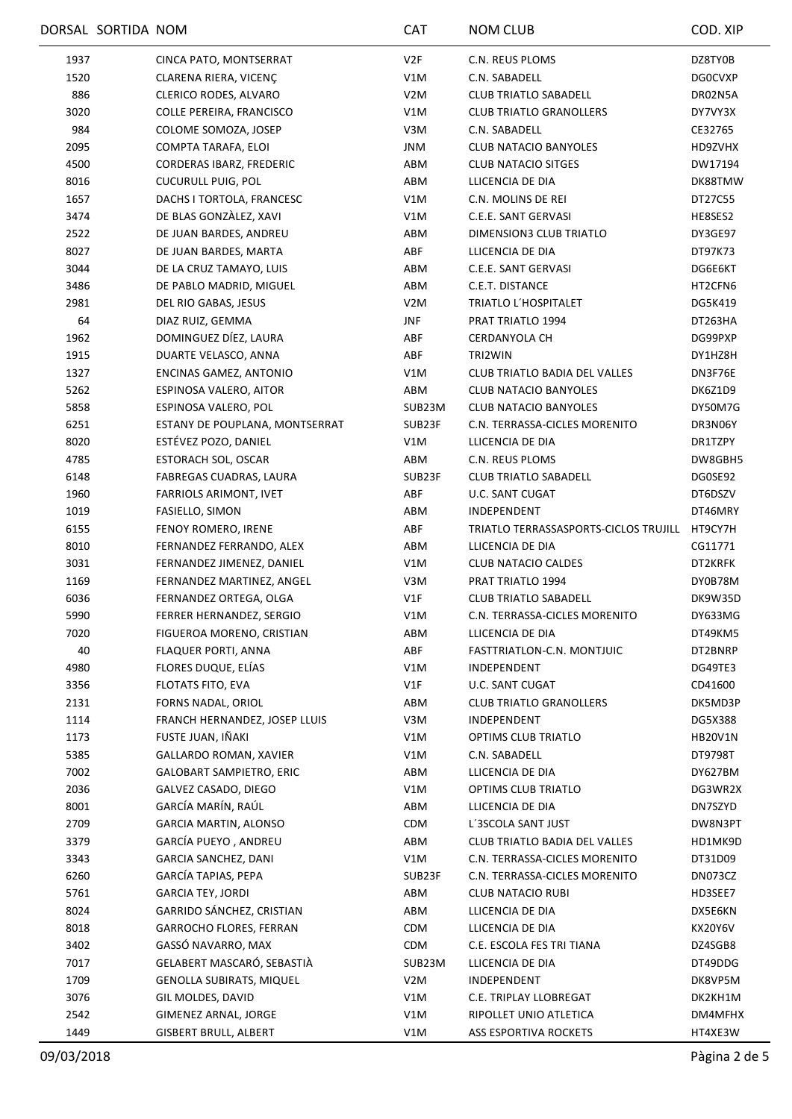|      | DORSAL SORTIDA NOM |                                 | <b>CAT</b>       | NOM CLUB                              | COD. XIP       |
|------|--------------------|---------------------------------|------------------|---------------------------------------|----------------|
| 1937 |                    | CINCA PATO, MONTSERRAT          | V <sub>2F</sub>  | C.N. REUS PLOMS                       | DZ8TY0B        |
| 1520 |                    | CLARENA RIERA, VICENÇ           | V1M              | C.N. SABADELL                         | <b>DGOCVXP</b> |
| 886  |                    | CLERICO RODES, ALVARO           | V <sub>2</sub> M | <b>CLUB TRIATLO SABADELL</b>          | DR02N5A        |
| 3020 |                    | COLLE PEREIRA, FRANCISCO        | V1M              | <b>CLUB TRIATLO GRANOLLERS</b>        | DY7VY3X        |
| 984  |                    | COLOME SOMOZA, JOSEP            | V3M              | C.N. SABADELL                         | CE32765        |
| 2095 |                    | COMPTA TARAFA, ELOI             | JNM              | <b>CLUB NATACIO BANYOLES</b>          | HD9ZVHX        |
| 4500 |                    | CORDERAS IBARZ, FREDERIC        | ABM              | <b>CLUB NATACIO SITGES</b>            | DW17194        |
| 8016 |                    | <b>CUCURULL PUIG, POL</b>       | ABM              | LLICENCIA DE DIA                      | DK88TMW        |
| 1657 |                    | DACHS I TORTOLA, FRANCESC       | V1M              | C.N. MOLINS DE REI                    | DT27C55        |
| 3474 |                    | DE BLAS GONZÀLEZ, XAVI          | V1M              | C.E.E. SANT GERVASI                   | HE8SES2        |
| 2522 |                    | DE JUAN BARDES, ANDREU          | ABM              | DIMENSION3 CLUB TRIATLO               | DY3GE97        |
| 8027 |                    | DE JUAN BARDES, MARTA           | ABF              | LLICENCIA DE DIA                      | DT97K73        |
| 3044 |                    | DE LA CRUZ TAMAYO, LUIS         | ABM              | C.E.E. SANT GERVASI                   | DG6E6KT        |
| 3486 |                    | DE PABLO MADRID, MIGUEL         | ABM              | C.E.T. DISTANCE                       | HT2CFN6        |
| 2981 |                    | DEL RIO GABAS, JESUS            | V <sub>2</sub> M | TRIATLO L'HOSPITALET                  | DG5K419        |
| 64   |                    | DIAZ RUIZ, GEMMA                | <b>JNF</b>       | <b>PRAT TRIATLO 1994</b>              | DT263HA        |
| 1962 |                    | DOMINGUEZ DÍEZ, LAURA           | ABF              | <b>CERDANYOLA CH</b>                  | DG99PXP        |
| 1915 |                    | DUARTE VELASCO, ANNA            | ABF              | TRI2WIN                               | DY1HZ8H        |
| 1327 |                    | ENCINAS GAMEZ, ANTONIO          | V1M              | <b>CLUB TRIATLO BADIA DEL VALLES</b>  | DN3F76E        |
| 5262 |                    | ESPINOSA VALERO, AITOR          | ABM              | <b>CLUB NATACIO BANYOLES</b>          | DK6Z1D9        |
| 5858 |                    | ESPINOSA VALERO, POL            | SUB23M           | CLUB NATACIO BANYOLES                 | DY50M7G        |
| 6251 |                    | ESTANY DE POUPLANA, MONTSERRAT  | SUB23F           | C.N. TERRASSA-CICLES MORENITO         | DR3N06Y        |
| 8020 |                    | ESTÉVEZ POZO, DANIEL            | V1M              | LLICENCIA DE DIA                      | DR1TZPY        |
| 4785 |                    | ESTORACH SOL, OSCAR             | ABM              | C.N. REUS PLOMS                       | DW8GBH5        |
| 6148 |                    | FABREGAS CUADRAS, LAURA         | SUB23F           | <b>CLUB TRIATLO SABADELL</b>          | DG0SE92        |
| 1960 |                    | FARRIOLS ARIMONT, IVET          | ABF              | U.C. SANT CUGAT                       | DT6DSZV        |
| 1019 |                    | FASIELLO, SIMON                 | ABM              | INDEPENDENT                           | DT46MRY        |
| 6155 |                    | FENOY ROMERO, IRENE             | ABF              | TRIATLO TERRASSASPORTS-CICLOS TRUJILL | HT9CY7H        |
| 8010 |                    | FERNANDEZ FERRANDO, ALEX        | ABM              | LLICENCIA DE DIA                      | CG11771        |
| 3031 |                    | FERNANDEZ JIMENEZ, DANIEL       | V1M              | <b>CLUB NATACIO CALDES</b>            | DT2KRFK        |
| 1169 |                    | FERNANDEZ MARTINEZ, ANGEL       | V3M              | PRAT TRIATLO 1994                     | DY0B78M        |
| 6036 |                    | FERNANDEZ ORTEGA, OLGA          | V1F              | <b>CLUB TRIATLO SABADELL</b>          | DK9W35D        |
| 5990 |                    | FERRER HERNANDEZ, SERGIO        | V1M              | C.N. TERRASSA-CICLES MORENITO         | DY633MG        |
| 7020 |                    | FIGUEROA MORENO, CRISTIAN       | ABM              | LLICENCIA DE DIA                      | DT49KM5        |
| 40   |                    | FLAQUER PORTI, ANNA             | ABF              | FASTTRIATLON-C.N. MONTJUIC            | DT2BNRP        |
| 4980 |                    | FLORES DUQUE, ELÍAS             | V1M              | INDEPENDENT                           | DG49TE3        |
| 3356 |                    | <b>FLOTATS FITO, EVA</b>        | V1F              | U.C. SANT CUGAT                       | CD41600        |
| 2131 |                    | FORNS NADAL, ORIOL              | ABM              | <b>CLUB TRIATLO GRANOLLERS</b>        | DK5MD3P        |
| 1114 |                    | FRANCH HERNANDEZ, JOSEP LLUIS   | V3M              | INDEPENDENT                           | DG5X388        |
| 1173 |                    | FUSTE JUAN, IÑAKI               | V1M              | OPTIMS CLUB TRIATLO                   | HB20V1N        |
| 5385 |                    | GALLARDO ROMAN, XAVIER          | V1M              | C.N. SABADELL                         | DT9798T        |
| 7002 |                    | GALOBART SAMPIETRO, ERIC        | ABM              | LLICENCIA DE DIA                      | DY627BM        |
| 2036 |                    | GALVEZ CASADO, DIEGO            | V1M              | OPTIMS CLUB TRIATLO                   | DG3WR2X        |
| 8001 |                    | GARCÍA MARÍN, RAÚL              | ABM              | LLICENCIA DE DIA                      | DN7SZYD        |
| 2709 |                    | GARCIA MARTIN, ALONSO           | <b>CDM</b>       | L'3SCOLA SANT JUST                    | DW8N3PT        |
| 3379 |                    | GARCÍA PUEYO, ANDREU            | ABM              | <b>CLUB TRIATLO BADIA DEL VALLES</b>  | HD1MK9D        |
| 3343 |                    | <b>GARCIA SANCHEZ, DANI</b>     | V1M              | C.N. TERRASSA-CICLES MORENITO         | DT31D09        |
| 6260 |                    | GARCÍA TAPIAS, PEPA             | SUB23F           | C.N. TERRASSA-CICLES MORENITO         | DN073CZ        |
| 5761 |                    | <b>GARCIA TEY, JORDI</b>        | ABM              | CLUB NATACIO RUBI                     | HD3SEE7        |
| 8024 |                    | GARRIDO SÁNCHEZ, CRISTIAN       | ABM              | LLICENCIA DE DIA                      | DX5E6KN        |
| 8018 |                    | <b>GARROCHO FLORES, FERRAN</b>  | <b>CDM</b>       | LLICENCIA DE DIA                      | KX20Y6V        |
| 3402 |                    | GASSÓ NAVARRO, MAX              | <b>CDM</b>       | C.E. ESCOLA FES TRI TIANA             | DZ4SGB8        |
| 7017 |                    | GELABERT MASCARÓ, SEBASTIÀ      | SUB23M           | LLICENCIA DE DIA                      | DT49DDG        |
| 1709 |                    | <b>GENOLLA SUBIRATS, MIQUEL</b> | V <sub>2</sub> M | INDEPENDENT                           | DK8VP5M        |
| 3076 |                    | GIL MOLDES, DAVID               | V1M              | C.E. TRIPLAY LLOBREGAT                | DK2KH1M        |
| 2542 |                    | GIMENEZ ARNAL, JORGE            | V1M              | RIPOLLET UNIO ATLETICA                | DM4MFHX        |
| 1449 |                    | GISBERT BRULL, ALBERT           | V1M              | ASS ESPORTIVA ROCKETS                 | HT4XE3W        |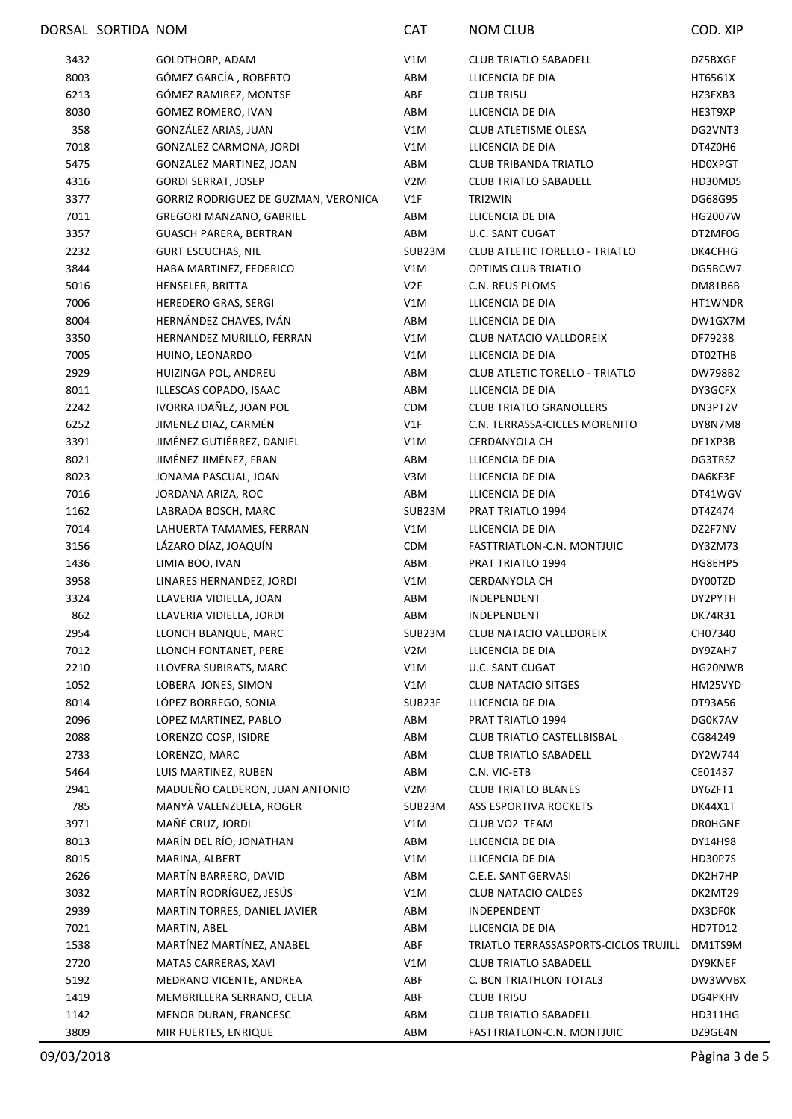|      | DORSAL SORTIDA NOM |                                      | <b>CAT</b>       | NOM CLUB                              | COD. XIP       |
|------|--------------------|--------------------------------------|------------------|---------------------------------------|----------------|
| 3432 |                    | GOLDTHORP, ADAM                      | V1M              | <b>CLUB TRIATLO SABADELL</b>          | DZ5BXGF        |
| 8003 |                    | GÓMEZ GARCÍA, ROBERTO                | ABM              | LLICENCIA DE DIA                      | HT6561X        |
| 6213 |                    | GÓMEZ RAMIREZ, MONTSE                | ABF              | <b>CLUB TRI5U</b>                     | HZ3FXB3        |
| 8030 |                    | GOMEZ ROMERO, IVAN                   | ABM              | LLICENCIA DE DIA                      | HE3T9XP        |
| 358  |                    | GONZÁLEZ ARIAS, JUAN                 | V1M              | CLUB ATLETISME OLESA                  | DG2VNT3        |
| 7018 |                    | GONZALEZ CARMONA, JORDI              | V1M              | LLICENCIA DE DIA                      | DT4Z0H6        |
| 5475 |                    | GONZALEZ MARTINEZ, JOAN              | ABM              | <b>CLUB TRIBANDA TRIATLO</b>          | <b>HDOXPGT</b> |
| 4316 |                    | <b>GORDI SERRAT, JOSEP</b>           | V <sub>2</sub> M | <b>CLUB TRIATLO SABADELL</b>          | HD30MD5        |
| 3377 |                    | GORRIZ RODRIGUEZ DE GUZMAN, VERONICA | V1F              | TRI2WIN                               | DG68G95        |
| 7011 |                    | GREGORI MANZANO, GABRIEL             | ABM              | LLICENCIA DE DIA                      | HG2007W        |
| 3357 |                    | <b>GUASCH PARERA, BERTRAN</b>        | ABM              | U.C. SANT CUGAT                       | DT2MF0G        |
| 2232 |                    | <b>GURT ESCUCHAS, NIL</b>            | SUB23M           | CLUB ATLETIC TORELLO - TRIATLO        | DK4CFHG        |
| 3844 |                    | HABA MARTINEZ, FEDERICO              | V1M              | OPTIMS CLUB TRIATLO                   | DG5BCW7        |
| 5016 |                    | HENSELER, BRITTA                     | V2F              | C.N. REUS PLOMS                       | DM81B6B        |
| 7006 |                    | HEREDERO GRAS, SERGI                 | V1M              | LLICENCIA DE DIA                      | HT1WNDR        |
| 8004 |                    | HERNÁNDEZ CHAVES, IVÁN               | ABM              | LLICENCIA DE DIA                      | DW1GX7M        |
| 3350 |                    | HERNANDEZ MURILLO, FERRAN            | V1M              | CLUB NATACIO VALLDOREIX               | DF79238        |
| 7005 |                    | HUINO, LEONARDO                      | V1M              | LLICENCIA DE DIA                      | DT02THB        |
| 2929 |                    | HUIZINGA POL, ANDREU                 | ABM              | CLUB ATLETIC TORELLO - TRIATLO        | DW798B2        |
| 8011 |                    | ILLESCAS COPADO, ISAAC               | ABM              | LLICENCIA DE DIA                      | DY3GCFX        |
| 2242 |                    | IVORRA IDAÑEZ, JOAN POL              | <b>CDM</b>       | <b>CLUB TRIATLO GRANOLLERS</b>        | DN3PT2V        |
| 6252 |                    | JIMENEZ DIAZ, CARMÉN                 | V1F              | C.N. TERRASSA-CICLES MORENITO         | DY8N7M8        |
| 3391 |                    | JIMÉNEZ GUTIÉRREZ, DANIEL            | V1M              | CERDANYOLA CH                         | DF1XP3B        |
| 8021 |                    | JIMÉNEZ JIMÉNEZ, FRAN                | ABM              | LLICENCIA DE DIA                      | DG3TRSZ        |
| 8023 |                    | JONAMA PASCUAL, JOAN                 | V3M              | LLICENCIA DE DIA                      | DA6KF3E        |
| 7016 |                    | JORDANA ARIZA, ROC                   | ABM              | LLICENCIA DE DIA                      | DT41WGV        |
| 1162 |                    | LABRADA BOSCH, MARC                  | SUB23M           | PRAT TRIATLO 1994                     | DT4Z474        |
| 7014 |                    | LAHUERTA TAMAMES, FERRAN             | V1M              | LLICENCIA DE DIA                      | DZ2F7NV        |
| 3156 |                    | LÁZARO DÍAZ, JOAQUÍN                 | CDM              | FASTTRIATLON-C.N. MONTJUIC            | DY3ZM73        |
| 1436 |                    | LIMIA BOO, IVAN                      | ABM              | PRAT TRIATLO 1994                     | HG8EHP5        |
| 3958 |                    | LINARES HERNANDEZ, JORDI             | V1M              | CERDANYOLA CH                         | DY00TZD        |
| 3324 |                    | LLAVERIA VIDIELLA, JOAN              | ABM              | INDEPENDENT                           | DY2PYTH        |
| 862  |                    | LLAVERIA VIDIELLA, JORDI             | ABM              | INDEPENDENT                           | DK74R31        |
| 2954 |                    | LLONCH BLANQUE, MARC                 | SUB23M           | CLUB NATACIO VALLDOREIX               | CH07340        |
| 7012 |                    | LLONCH FONTANET, PERE                | V <sub>2</sub> M | LLICENCIA DE DIA                      | DY9ZAH7        |
| 2210 |                    | LLOVERA SUBIRATS, MARC               | V1M              | U.C. SANT CUGAT                       | HG20NWB        |
| 1052 |                    | LOBERA JONES, SIMON                  | V1M              | <b>CLUB NATACIO SITGES</b>            | HM25VYD        |
| 8014 |                    | LÓPEZ BORREGO, SONIA                 | SUB23F           | LLICENCIA DE DIA                      | DT93A56        |
| 2096 |                    | LOPEZ MARTINEZ, PABLO                | ABM              | PRAT TRIATLO 1994                     | DG0K7AV        |
| 2088 |                    | LORENZO COSP, ISIDRE                 | ABM              | <b>CLUB TRIATLO CASTELLBISBAL</b>     | CG84249        |
| 2733 |                    | LORENZO, MARC                        | ABM              | <b>CLUB TRIATLO SABADELL</b>          | DY2W744        |
| 5464 |                    | LUIS MARTINEZ, RUBEN                 | ABM              | C.N. VIC-ETB                          | CE01437        |
| 2941 |                    | MADUEÑO CALDERON, JUAN ANTONIO       | V <sub>2</sub> M | <b>CLUB TRIATLO BLANES</b>            | DY6ZFT1        |
| 785  |                    | MANYÀ VALENZUELA, ROGER              | SUB23M           | ASS ESPORTIVA ROCKETS                 | DK44X1T        |
| 3971 |                    | MAÑÉ CRUZ, JORDI                     | V1M              | CLUB VO2 TEAM                         | <b>DROHGNE</b> |
| 8013 |                    | MARÍN DEL RÍO, JONATHAN              | ABM              | LLICENCIA DE DIA                      | DY14H98        |
| 8015 |                    | MARINA, ALBERT                       | V1M              | LLICENCIA DE DIA                      | HD30P7S        |
| 2626 |                    | MARTÍN BARRERO, DAVID                | ABM              | C.E.E. SANT GERVASI                   | DK2H7HP        |
| 3032 |                    | MARTÍN RODRÍGUEZ, JESÚS              | V1M              | <b>CLUB NATACIO CALDES</b>            | DK2MT29        |
| 2939 |                    | MARTIN TORRES, DANIEL JAVIER         | ABM              | INDEPENDENT                           | DX3DF0K        |
| 7021 |                    | MARTIN, ABEL                         | ABM              | LLICENCIA DE DIA                      | HD7TD12        |
| 1538 |                    | MARTÍNEZ MARTÍNEZ, ANABEL            | ABF              | TRIATLO TERRASSASPORTS-CICLOS TRUJILL | DM1TS9M        |
| 2720 |                    | MATAS CARRERAS, XAVI                 | V1M              | <b>CLUB TRIATLO SABADELL</b>          | DY9KNEF        |
| 5192 |                    | MEDRANO VICENTE, ANDREA              | ABF              | C. BCN TRIATHLON TOTAL3               | DW3WVBX        |
| 1419 |                    | MEMBRILLERA SERRANO, CELIA           | ABF              | <b>CLUB TRI5U</b>                     | DG4PKHV        |
| 1142 |                    | MENOR DURAN, FRANCESC                | ABM              | <b>CLUB TRIATLO SABADELL</b>          | HD311HG        |
| 3809 |                    | MIR FUERTES, ENRIQUE                 | ABM              | FASTTRIATLON-C.N. MONTJUIC            | DZ9GE4N        |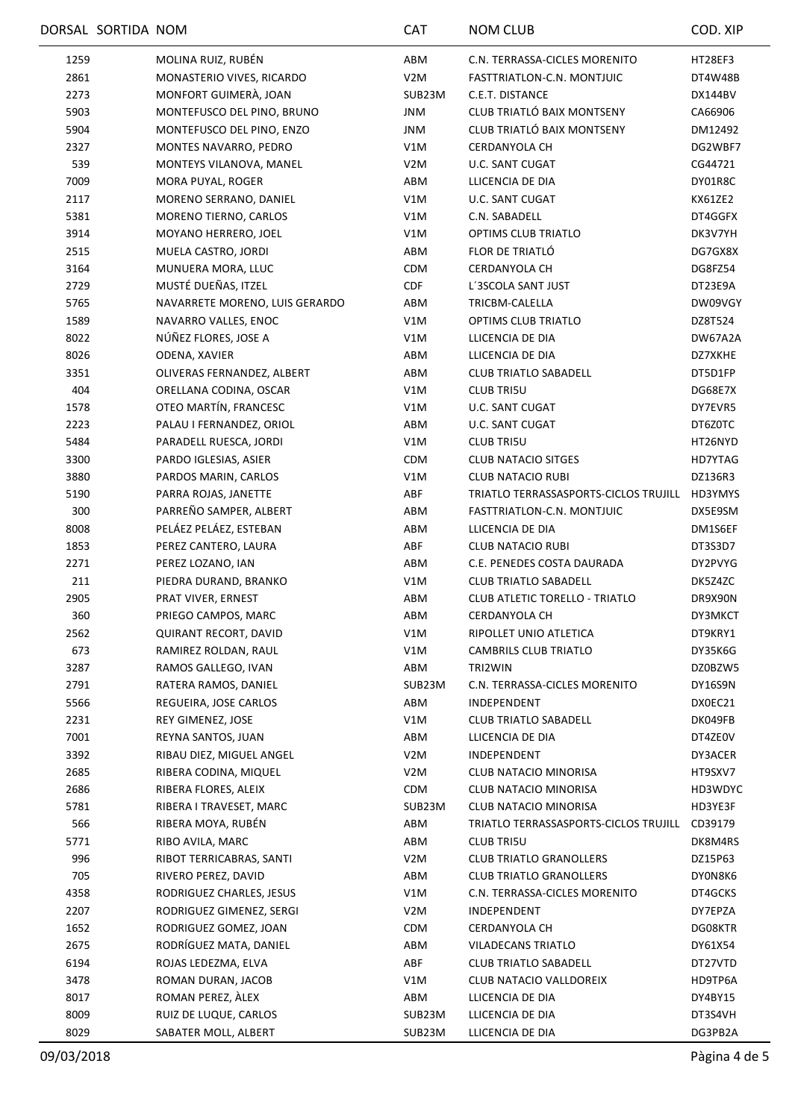|      | DORSAL SORTIDA NOM |                                | CAT              | <b>NOM CLUB</b>                       | COD. XIP |
|------|--------------------|--------------------------------|------------------|---------------------------------------|----------|
| 1259 |                    | MOLINA RUIZ, RUBÉN             | ABM              | C.N. TERRASSA-CICLES MORENITO         | HT28EF3  |
| 2861 |                    | MONASTERIO VIVES, RICARDO      | V <sub>2</sub> M | FASTTRIATLON-C.N. MONTJUIC            | DT4W48B  |
| 2273 |                    | MONFORT GUIMERÀ, JOAN          | SUB23M           | C.E.T. DISTANCE                       | DX144BV  |
| 5903 |                    | MONTEFUSCO DEL PINO, BRUNO     | JNM              | CLUB TRIATLÓ BAIX MONTSENY            | CA66906  |
| 5904 |                    | MONTEFUSCO DEL PINO, ENZO      | JNM              | CLUB TRIATLÓ BAIX MONTSENY            | DM12492  |
| 2327 |                    | MONTES NAVARRO, PEDRO          | V1M              | CERDANYOLA CH                         | DG2WBF7  |
| 539  |                    | MONTEYS VILANOVA, MANEL        | V <sub>2</sub> M | <b>U.C. SANT CUGAT</b>                | CG44721  |
| 7009 |                    | MORA PUYAL, ROGER              | ABM              | LLICENCIA DE DIA                      | DY01R8C  |
| 2117 |                    | MORENO SERRANO, DANIEL         | V1M              | U.C. SANT CUGAT                       | KX61ZE2  |
| 5381 |                    | MORENO TIERNO, CARLOS          | V1M              | C.N. SABADELL                         | DT4GGFX  |
| 3914 |                    | MOYANO HERRERO, JOEL           | V1M              | OPTIMS CLUB TRIATLO                   | DK3V7YH  |
| 2515 |                    | MUELA CASTRO, JORDI            | ABM              | FLOR DE TRIATLÓ                       | DG7GX8X  |
| 3164 |                    | MUNUERA MORA, LLUC             | CDM              | <b>CERDANYOLA CH</b>                  | DG8FZ54  |
| 2729 |                    | MUSTÉ DUEÑAS, ITZEL            | CDF              | L'3SCOLA SANT JUST                    | DT23E9A  |
| 5765 |                    | NAVARRETE MORENO, LUIS GERARDO | ABM              | TRICBM-CALELLA                        | DW09VGY  |
| 1589 |                    | NAVARRO VALLES, ENOC           | V1M              | OPTIMS CLUB TRIATLO                   | DZ8T524  |
| 8022 |                    | NÚÑEZ FLORES, JOSE A           | V1M              | LLICENCIA DE DIA                      | DW67A2A  |
| 8026 |                    | ODENA, XAVIER                  | ABM              | LLICENCIA DE DIA                      | DZ7XKHE  |
| 3351 |                    | OLIVERAS FERNANDEZ, ALBERT     | ABM              | <b>CLUB TRIATLO SABADELL</b>          | DT5D1FP  |
| 404  |                    | ORELLANA CODINA, OSCAR         | V1M              | <b>CLUB TRI5U</b>                     | DG68E7X  |
| 1578 |                    | OTEO MARTÍN, FRANCESC          | V1M              | U.C. SANT CUGAT                       | DY7EVR5  |
| 2223 |                    | PALAU I FERNANDEZ, ORIOL       | ABM              | U.C. SANT CUGAT                       | DT6Z0TC  |
| 5484 |                    | PARADELL RUESCA, JORDI         | V1M              | <b>CLUB TRI5U</b>                     | HT26NYD  |
| 3300 |                    | PARDO IGLESIAS, ASIER          | <b>CDM</b>       | <b>CLUB NATACIO SITGES</b>            | HD7YTAG  |
| 3880 |                    | PARDOS MARIN, CARLOS           | V1M              | <b>CLUB NATACIO RUBI</b>              | DZ136R3  |
| 5190 |                    | PARRA ROJAS, JANETTE           | ABF              | TRIATLO TERRASSASPORTS-CICLOS TRUJILL | HD3YMYS  |
| 300  |                    | PARREÑO SAMPER, ALBERT         | ABM              | FASTTRIATLON-C.N. MONTJUIC            | DX5E9SM  |
| 8008 |                    | PELÁEZ PELÁEZ, ESTEBAN         | ABM              | LLICENCIA DE DIA                      | DM1S6EF  |
| 1853 |                    | PEREZ CANTERO, LAURA           | ABF              | <b>CLUB NATACIO RUBI</b>              | DT3S3D7  |
| 2271 |                    | PEREZ LOZANO, IAN              | ABM              | C.E. PENEDES COSTA DAURADA            | DY2PVYG  |
| 211  |                    | PIEDRA DURAND, BRANKO          | V1M              | <b>CLUB TRIATLO SABADELL</b>          | DK5Z4ZC  |
| 2905 |                    | PRAT VIVER, ERNEST             | ABM              | <b>CLUB ATLETIC TORELLO - TRIATLO</b> | DR9X90N  |
| 360  |                    | PRIEGO CAMPOS, MARC            | ABM              | <b>CERDANYOLA CH</b>                  | DY3MKCT  |
| 2562 |                    | <b>QUIRANT RECORT, DAVID</b>   | V1M              | RIPOLLET UNIO ATLETICA                | DT9KRY1  |
| 673  |                    | RAMIREZ ROLDAN, RAUL           | V1M              | CAMBRILS CLUB TRIATLO                 | DY35K6G  |
| 3287 |                    | RAMOS GALLEGO, IVAN            | ABM              | TRI2WIN                               | DZ0BZW5  |
| 2791 |                    | RATERA RAMOS, DANIEL           | SUB23M           | C.N. TERRASSA-CICLES MORENITO         | DY16S9N  |
| 5566 |                    | REGUEIRA, JOSE CARLOS          | ABM              | INDEPENDENT                           | DX0EC21  |
| 2231 |                    | REY GIMENEZ, JOSE              | V1M              | <b>CLUB TRIATLO SABADELL</b>          | DK049FB  |
| 7001 |                    | REYNA SANTOS, JUAN             | ABM              | LLICENCIA DE DIA                      | DT4ZE0V  |
| 3392 |                    | RIBAU DIEZ, MIGUEL ANGEL       | V <sub>2</sub> M | INDEPENDENT                           | DY3ACER  |
| 2685 |                    | RIBERA CODINA, MIQUEL          | V <sub>2</sub> M | <b>CLUB NATACIO MINORISA</b>          | HT9SXV7  |
| 2686 |                    | RIBERA FLORES, ALEIX           | <b>CDM</b>       | CLUB NATACIO MINORISA                 | HD3WDYC  |
| 5781 |                    | RIBERA I TRAVESET, MARC        | SUB23M           | CLUB NATACIO MINORISA                 | HD3YE3F  |
| 566  |                    | RIBERA MOYA, RUBÉN             | ABM              | TRIATLO TERRASSASPORTS-CICLOS TRUJILL | CD39179  |
| 5771 |                    | RIBO AVILA, MARC               | ABM              | <b>CLUB TRI5U</b>                     | DK8M4RS  |
| 996  |                    | RIBOT TERRICABRAS, SANTI       | V <sub>2</sub> M | <b>CLUB TRIATLO GRANOLLERS</b>        | DZ15P63  |
| 705  |                    | RIVERO PEREZ, DAVID            | ABM              | <b>CLUB TRIATLO GRANOLLERS</b>        | DY0N8K6  |
| 4358 |                    | RODRIGUEZ CHARLES, JESUS       | V1M              | C.N. TERRASSA-CICLES MORENITO         | DT4GCKS  |
| 2207 |                    | RODRIGUEZ GIMENEZ, SERGI       | V <sub>2</sub> M | INDEPENDENT                           | DY7EPZA  |
| 1652 |                    | RODRIGUEZ GOMEZ, JOAN          | <b>CDM</b>       | CERDANYOLA CH                         | DG08KTR  |
| 2675 |                    | RODRÍGUEZ MATA, DANIEL         | ABM              | <b>VILADECANS TRIATLO</b>             | DY61X54  |
| 6194 |                    | ROJAS LEDEZMA, ELVA            | ABF              | <b>CLUB TRIATLO SABADELL</b>          | DT27VTD  |
| 3478 |                    | ROMAN DURAN, JACOB             | V1M              | CLUB NATACIO VALLDOREIX               | HD9TP6A  |
| 8017 |                    | ROMAN PEREZ, ALEX              | ABM              | LLICENCIA DE DIA                      | DY4BY15  |
| 8009 |                    | RUIZ DE LUQUE, CARLOS          | SUB23M           | LLICENCIA DE DIA                      | DT3S4VH  |
| 8029 |                    | SABATER MOLL, ALBERT           | SUB23M           | LLICENCIA DE DIA                      | DG3PB2A  |
|      |                    |                                |                  |                                       |          |